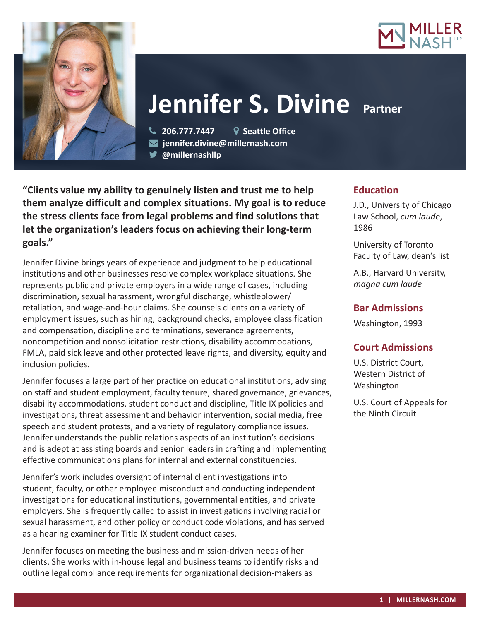



# **Jennifer S. Divine Partner**

 **206.777.7447 Seattle Office jennifer.divine@millernash.com** 

**@millernashllp** 

**"Clients value my ability to genuinely listen and trust me to help them analyze difficult and complex situations. My goal is to reduce the stress clients face from legal problems and find solutions that let the organization's leaders focus on achieving their long-term goals."**

Jennifer Divine brings years of experience and judgment to help educational institutions and other businesses resolve complex workplace situations. She represents public and private employers in a wide range of cases, including discrimination, sexual harassment, wrongful discharge, whistleblower/ retaliation, and wage-and-hour claims. She counsels clients on a variety of employment issues, such as hiring, background checks, employee classification and compensation, discipline and terminations, severance agreements, noncompetition and nonsolicitation restrictions, disability accommodations, FMLA, paid sick leave and other protected leave rights, and diversity, equity and inclusion policies.

Jennifer focuses a large part of her practice on educational institutions, advising on staff and student employment, faculty tenure, shared governance, grievances, disability accommodations, student conduct and discipline, Title IX policies and investigations, threat assessment and behavior intervention, social media, free speech and student protests, and a variety of regulatory compliance issues. Jennifer understands the public relations aspects of an institution's decisions and is adept at assisting boards and senior leaders in crafting and implementing effective communications plans for internal and external constituencies.

Jennifer's work includes oversight of internal client investigations into student, faculty, or other employee misconduct and conducting independent investigations for educational institutions, governmental entities, and private employers. She is frequently called to assist in investigations involving racial or sexual harassment, and other policy or conduct code violations, and has served as a hearing examiner for Title IX student conduct cases.

Jennifer focuses on meeting the business and mission-driven needs of her clients. She works with in-house legal and business teams to identify risks and outline legal compliance requirements for organizational decision-makers as

## **Education**

J.D., University of Chicago Law School, *cum laude*, 1986

University of Toronto Faculty of Law, dean's list

A.B., Harvard University, *magna cum laude*

## **Bar Admissions**

Washington, 1993

## **Court Admissions**

U.S. District Court, Western District of Washington

U.S. Court of Appeals for the Ninth Circuit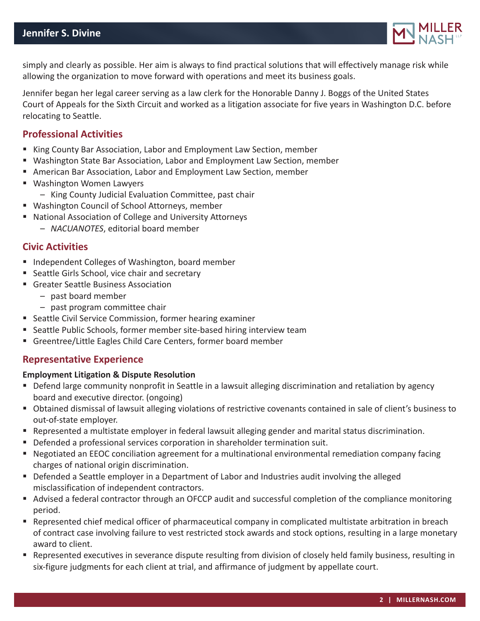

simply and clearly as possible. Her aim is always to find practical solutions that will effectively manage risk while allowing the organization to move forward with operations and meet its business goals.

Jennifer began her legal career serving as a law clerk for the Honorable Danny J. Boggs of the United States Court of Appeals for the Sixth Circuit and worked as a litigation associate for five years in Washington D.C. before relocating to Seattle.

### **Professional Activities**

- King County Bar Association, Labor and Employment Law Section, member
- Washington State Bar Association, Labor and Employment Law Section, member
- American Bar Association, Labor and Employment Law Section, member
- Washington Women Lawyers
	- King County Judicial Evaluation Committee, past chair
- Washington Council of School Attorneys, member
- National Association of College and University Attorneys
	- *NACUANOTES*, editorial board member

#### **Civic Activities**

- Independent Colleges of Washington, board member
- Seattle Girls School, vice chair and secretary
- Greater Seattle Business Association
	- past board member
	- past program committee chair
- Seattle Civil Service Commission, former hearing examiner
- Seattle Public Schools, former member site-based hiring interview team
- Greentree/Little Eagles Child Care Centers, former board member

#### **Representative Experience**

#### **Employment Litigation & Dispute Resolution**

- **Defend large community nonprofit in Seattle in a lawsuit alleging discrimination and retaliation by agency** board and executive director. (ongoing)
- Obtained dismissal of lawsuit alleging violations of restrictive covenants contained in sale of client's business to out-of-state employer.
- Represented a multistate employer in federal lawsuit alleging gender and marital status discrimination.
- Defended a professional services corporation in shareholder termination suit.
- Negotiated an EEOC conciliation agreement for a multinational environmental remediation company facing charges of national origin discrimination.
- **Defended a Seattle employer in a Department of Labor and Industries audit involving the alleged** misclassification of independent contractors.
- Advised a federal contractor through an OFCCP audit and successful completion of the compliance monitoring period.
- Represented chief medical officer of pharmaceutical company in complicated multistate arbitration in breach of contract case involving failure to vest restricted stock awards and stock options, resulting in a large monetary award to client.
- Represented executives in severance dispute resulting from division of closely held family business, resulting in six-figure judgments for each client at trial, and affirmance of judgment by appellate court.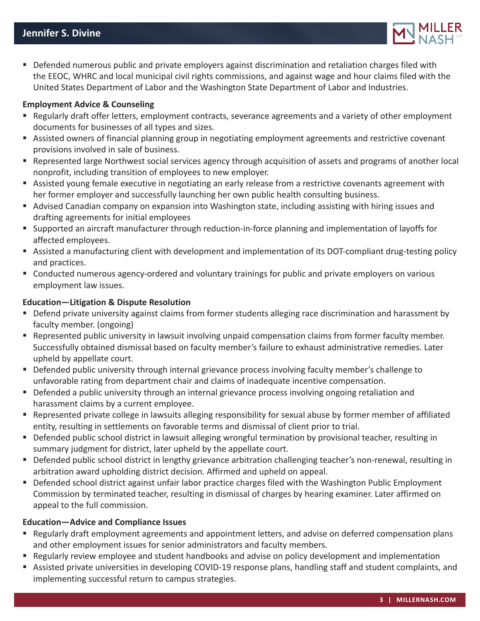

**Defended numerous public and private employers against discrimination and retaliation charges filed with** the EEOC, WHRC and local municipal civil rights commissions, and against wage and hour claims filed with the United States Department of Labor and the Washington State Department of Labor and Industries.

#### **Employment Advice & Counseling**

- Regularly draft offer letters, employment contracts, severance agreements and a variety of other employment documents for businesses of all types and sizes.
- Assisted owners of financial planning group in negotiating employment agreements and restrictive covenant provisions involved in sale of business.
- Represented large Northwest social services agency through acquisition of assets and programs of another local nonprofit, including transition of employees to new employer.
- Assisted young female executive in negotiating an early release from a restrictive covenants agreement with her former employer and successfully launching her own public health consulting business.
- Advised Canadian company on expansion into Washington state, including assisting with hiring issues and drafting agreements for initial employees
- Supported an aircraft manufacturer through reduction-in-force planning and implementation of layoffs for affected employees.
- Assisted a manufacturing client with development and implementation of its DOT-compliant drug-testing policy and practices.
- Conducted numerous agency-ordered and voluntary trainings for public and private employers on various employment law issues.

#### **Education—Litigation & Dispute Resolution**

- Defend private university against claims from former students alleging race discrimination and harassment by faculty member. (ongoing)
- Represented public university in lawsuit involving unpaid compensation claims from former faculty member. Successfully obtained dismissal based on faculty member's failure to exhaust administrative remedies. Later upheld by appellate court.
- **Defended public university through internal grievance process involving faculty member's challenge to** unfavorable rating from department chair and claims of inadequate incentive compensation.
- **Defended a public university through an internal grievance process involving ongoing retaliation and** harassment claims by a current employee.
- Represented private college in lawsuits alleging responsibility for sexual abuse by former member of affiliated entity, resulting in settlements on favorable terms and dismissal of client prior to trial.
- Defended public school district in lawsuit alleging wrongful termination by provisional teacher, resulting in summary judgment for district, later upheld by the appellate court.
- Defended public school district in lengthy grievance arbitration challenging teacher's non-renewal, resulting in arbitration award upholding district decision. Affirmed and upheld on appeal.
- Defended school district against unfair labor practice charges filed with the Washington Public Employment Commission by terminated teacher, resulting in dismissal of charges by hearing examiner. Later affirmed on appeal to the full commission.

#### **Education—Advice and Compliance Issues**

- Regularly draft employment agreements and appointment letters, and advise on deferred compensation plans and other employment issues for senior administrators and faculty members.
- Regularly review employee and student handbooks and advise on policy development and implementation
- Assisted private universities in developing COVID-19 response plans, handling staff and student complaints, and implementing successful return to campus strategies.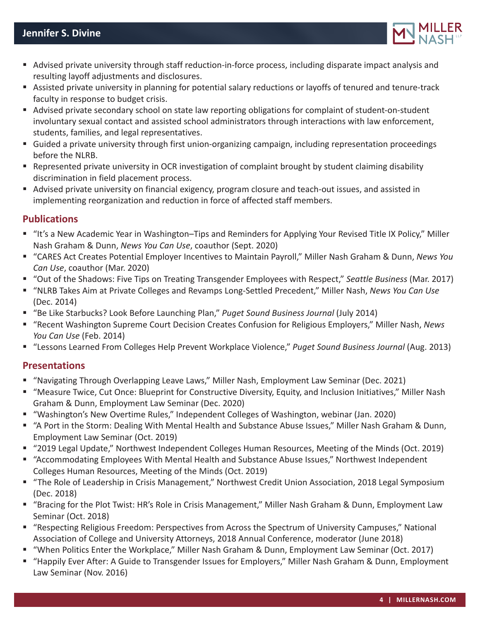

- Advised private university through staff reduction-in-force process, including disparate impact analysis and resulting layoff adjustments and disclosures.
- Assisted private university in planning for potential salary reductions or layoffs of tenured and tenure-track faculty in response to budget crisis.
- Advised private secondary school on state law reporting obligations for complaint of student-on-student involuntary sexual contact and assisted school administrators through interactions with law enforcement, students, families, and legal representatives.
- Guided a private university through first union-organizing campaign, including representation proceedings before the NLRB.
- Represented private university in OCR investigation of complaint brought by student claiming disability discrimination in field placement process.
- Advised private university on financial exigency, program closure and teach-out issues, and assisted in implementing reorganization and reduction in force of affected staff members.

## **Publications**

- "It's a New Academic Year in Washington–Tips and Reminders for Applying Your Revised Title IX Policy," Miller Nash Graham & Dunn, *News You Can Use*, coauthor (Sept. 2020)
- "CARES Act Creates Potential Employer Incentives to Maintain Payroll," Miller Nash Graham & Dunn, *News You Can Use*, coauthor (Mar. 2020)
- "Out of the Shadows: Five Tips on Treating Transgender Employees with Respect," *Seattle Business* (Mar. 2017)
- "NLRB Takes Aim at Private Colleges and Revamps Long-Settled Precedent," Miller Nash, *News You Can Use* (Dec. 2014)
- "Be Like Starbucks? Look Before Launching Plan," *Puget Sound Business Journal* (July 2014)
- "Recent Washington Supreme Court Decision Creates Confusion for Religious Employers," Miller Nash, *News You Can Use* (Feb. 2014)
- "Lessons Learned From Colleges Help Prevent Workplace Violence," *Puget Sound Business Journal* (Aug. 2013)

## **Presentations**

- "Navigating Through Overlapping Leave Laws," Miller Nash, Employment Law Seminar (Dec. 2021)
- "Measure Twice, Cut Once: Blueprint for Constructive Diversity, Equity, and Inclusion Initiatives," Miller Nash Graham & Dunn, Employment Law Seminar (Dec. 2020)
- "Washington's New Overtime Rules," Independent Colleges of Washington, webinar (Jan. 2020)
- "A Port in the Storm: Dealing With Mental Health and Substance Abuse Issues," Miller Nash Graham & Dunn, Employment Law Seminar (Oct. 2019)
- "2019 Legal Update," Northwest Independent Colleges Human Resources, Meeting of the Minds (Oct. 2019)
- "Accommodating Employees With Mental Health and Substance Abuse Issues," Northwest Independent Colleges Human Resources, Meeting of the Minds (Oct. 2019)
- "The Role of Leadership in Crisis Management," Northwest Credit Union Association, 2018 Legal Symposium (Dec. 2018)
- "Bracing for the Plot Twist: HR's Role in Crisis Management," Miller Nash Graham & Dunn, Employment Law Seminar (Oct. 2018)
- "Respecting Religious Freedom: Perspectives from Across the Spectrum of University Campuses," National Association of College and University Attorneys, 2018 Annual Conference, moderator (June 2018)
- "When Politics Enter the Workplace," Miller Nash Graham & Dunn, Employment Law Seminar (Oct. 2017)
- "Happily Ever After: A Guide to Transgender Issues for Employers," Miller Nash Graham & Dunn, Employment Law Seminar (Nov. 2016)